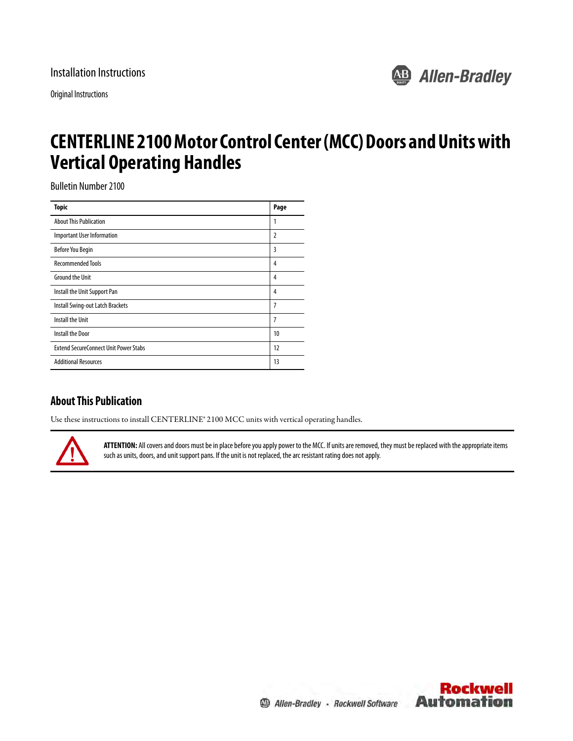Original Instructions



# **CENTERLINE 2100 Motor Control Center (MCC) Doors and Units with Vertical Operating Handles**

Bulletin Number 2100

| <b>Topic</b>                                 | Page |
|----------------------------------------------|------|
| <b>About This Publication</b>                | 1    |
| <b>Important User Information</b>            | 2    |
| <b>Before You Begin</b>                      | 3    |
| <b>Recommended Tools</b>                     | 4    |
| <b>Ground the Unit</b>                       | 4    |
| Install the Unit Support Pan                 | 4    |
| Install Swing-out Latch Brackets             | 7    |
| Install the Unit                             | 7    |
| <b>Install the Door</b>                      | 10   |
| <b>Extend SecureConnect Unit Power Stabs</b> | 12   |
| <b>Additional Resources</b>                  | 13   |

# <span id="page-0-0"></span>**About This Publication**

Use these instructions to install CENTERLINE® 2100 MCC units with vertical operating handles.



**ATTENTION:** All covers and doors must be in place before you apply power to the MCC. If units are removed, they must be replaced with the appropriate items such as units, doors, and unit support pans. If the unit is not replaced, the arc resistant rating does not apply.

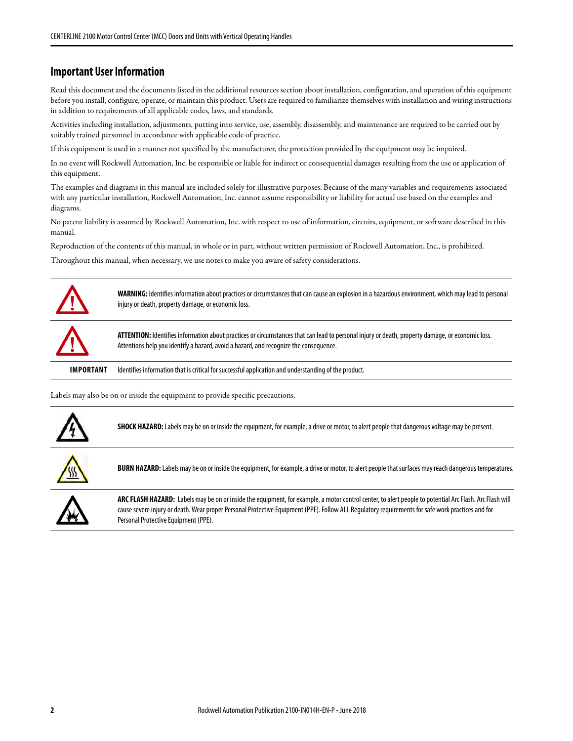## <span id="page-1-0"></span>**Important User Information**

Read this document and the documents listed in the additional resources section about installation, configuration, and operation of this equipment before you install, configure, operate, or maintain this product. Users are required to familiarize themselves with installation and wiring instructions in addition to requirements of all applicable codes, laws, and standards.

Activities including installation, adjustments, putting into service, use, assembly, disassembly, and maintenance are required to be carried out by suitably trained personnel in accordance with applicable code of practice.

If this equipment is used in a manner not specified by the manufacturer, the protection provided by the equipment may be impaired.

In no event will Rockwell Automation, Inc. be responsible or liable for indirect or consequential damages resulting from the use or application of this equipment.

The examples and diagrams in this manual are included solely for illustrative purposes. Because of the many variables and requirements associated with any particular installation, Rockwell Automation, Inc. cannot assume responsibility or liability for actual use based on the examples and diagrams.

No patent liability is assumed by Rockwell Automation, Inc. with respect to use of information, circuits, equipment, or software described in this manual.

Reproduction of the contents of this manual, in whole or in part, without written permission of Rockwell Automation, Inc., is prohibited.

Throughout this manual, when necessary, we use notes to make you aware of safety considerations.



**WARNING:** Identifies information about practices or circumstances that can cause an explosion in a hazardous environment, which may lead to personal injury or death, property damage, or economic loss.



**ATTENTION:** Identifies information about practices or circumstances that can lead to personal injury or death, property damage, or economic loss. Attentions help you identify a hazard, avoid a hazard, and recognize the consequence.

**IMPORTANT** Identifies information that is critical for successful application and understanding of the product.

Labels may also be on or inside the equipment to provide specific precautions.



**SHOCK HAZARD:** Labels may be on or inside the equipment, for example, a drive or motor, to alert people that dangerous voltage may be present.



**BURN HAZARD:** Labels may be on or inside the equipment, for example, a drive or motor, to alert people that surfaces may reach dangerous temperatures.



**ARC FLASH HAZARD:** Labels may be on or inside the equipment, for example, a motor control center, to alert people to potential Arc Flash. Arc Flash will cause severe injury or death. Wear proper Personal Protective Equipment (PPE). Follow ALL Regulatory requirements for safe work practices and for Personal Protective Equipment (PPE).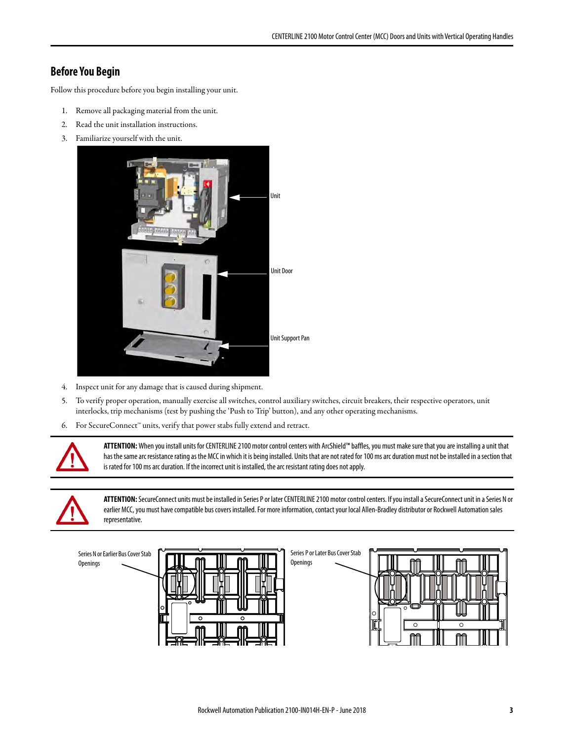# <span id="page-2-0"></span>**Before You Begin**

Follow this procedure before you begin installing your unit.

- 1. Remove all packaging material from the unit.
- 2. Read the unit installation instructions.
- 3. Familiarize yourself with the unit.



- 4. Inspect unit for any damage that is caused during shipment.
- 5. To verify proper operation, manually exercise all switches, control auxiliary switches, circuit breakers, their respective operators, unit interlocks, trip mechanisms (test by pushing the 'Push to Trip' button), and any other operating mechanisms.
- 6. For SecureConnect™ units, verify that power stabs fully extend and retract.



**ATTENTION:** When you install units for CENTERLINE 2100 motor control centers with ArcShield™ baffles, you must make sure that you are installing a unit that has the same arc resistance rating as the MCC in which it is being installed. Units that are not rated for 100 ms arc duration must not be installed in a section that is rated for 100 ms arc duration. If the incorrect unit is installed, the arc resistant rating does not apply.



**ATTENTION:** SecureConnect units must be installed in Series P or later CENTERLINE 2100 motor control centers. If you install a SecureConnect unit in a Series N or earlier MCC, you must have compatible bus covers installed. For more information, contact your local Allen-Bradley distributor or Rockwell Automation sales representative.

Openings

Series N or Earlier Bus Cover Stab Openings



Series P or Later Bus Cover Stab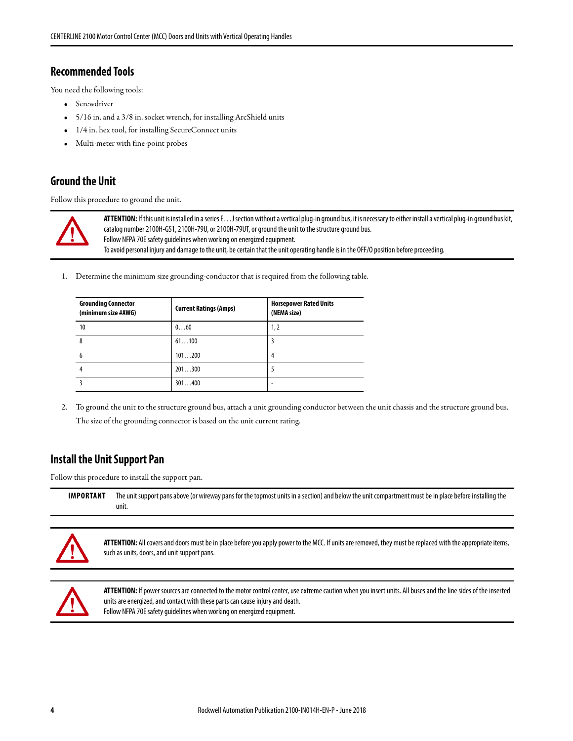## <span id="page-3-0"></span>**Recommended Tools**

You need the following tools:

- Screwdriver
- 5/16 in. and a 3/8 in. socket wrench, for installing ArcShield units
- 1/4 in. hex tool, for installing SecureConnect units
- Multi-meter with fine-point probes

### <span id="page-3-1"></span>**Ground the Unit**

Follow this procedure to ground the unit.



**ATTENTION:** If this unit is installed in a series E…J section without a vertical plug-in ground bus, it is necessary to either install a vertical plug-in ground bus kit, catalog number 2100H-GS1, 2100H-79U, or 2100H-79UT, or ground the unit to the structure ground bus. Follow NFPA 70E safety guidelines when working on energized equipment. To avoid personal injury and damage to the unit, be certain that the unit operating handle is in the OFF/O position before proceeding.

1. Determine the minimum size grounding-conductor that is required from the following table.

| <b>Grounding Connector</b><br>(minimum size #AWG) | <b>Current Ratings (Amps)</b> | <b>Horsepower Rated Units</b><br>(NEMA size) |
|---------------------------------------------------|-------------------------------|----------------------------------------------|
| 10                                                | 060                           | 1,2                                          |
| 8                                                 | 61100                         |                                              |
| b                                                 | 101200                        | 4                                            |
|                                                   | 201300                        |                                              |
|                                                   | 301400                        |                                              |

2. To ground the unit to the structure ground bus, attach a unit grounding conductor between the unit chassis and the structure ground bus. The size of the grounding connector is based on the unit current rating.

# <span id="page-3-2"></span>**Install the Unit Support Pan**

Follow this procedure to install the support pan.

**IMPORTANT** The unit support pans above (or wireway pans for the topmost units in a section) and below the unit compartment must be in place before installing the unit.



**ATTENTION:** All covers and doors must be in place before you apply power to the MCC. If units are removed, they must be replaced with the appropriate items, such as units, doors, and unit support pans.



**ATTENTION:** If power sources are connected to the motor control center, use extreme caution when you insert units. All buses and the line sides of the inserted units are energized, and contact with these parts can cause injury and death. Follow NFPA 70E safety guidelines when working on energized equipment.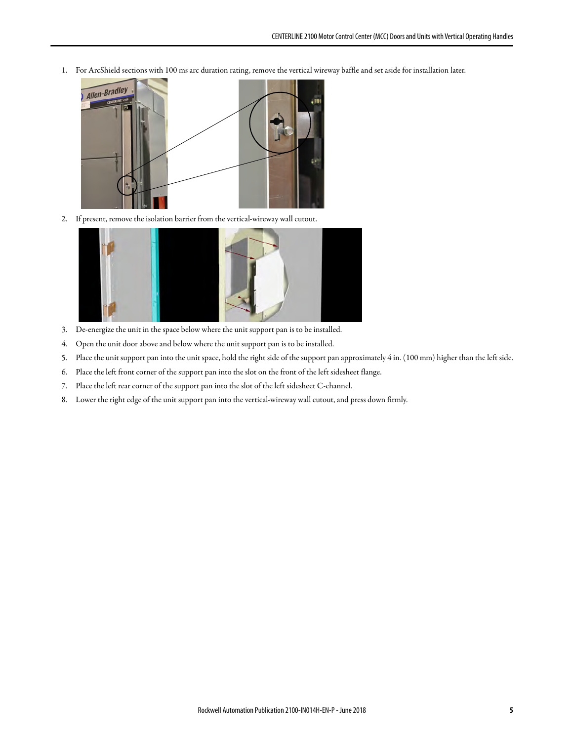1. For ArcShield sections with 100 ms arc duration rating, remove the vertical wireway baffle and set aside for installation later.



2. If present, remove the isolation barrier from the vertical-wireway wall cutout.



- 3. De-energize the unit in the space below where the unit support pan is to be installed.
- 4. Open the unit door above and below where the unit support pan is to be installed.
- 5. Place the unit support pan into the unit space, hold the right side of the support pan approximately 4 in. (100 mm) higher than the left side.
- 6. Place the left front corner of the support pan into the slot on the front of the left sidesheet flange.
- 7. Place the left rear corner of the support pan into the slot of the left sidesheet C-channel.
- 8. Lower the right edge of the unit support pan into the vertical-wireway wall cutout, and press down firmly.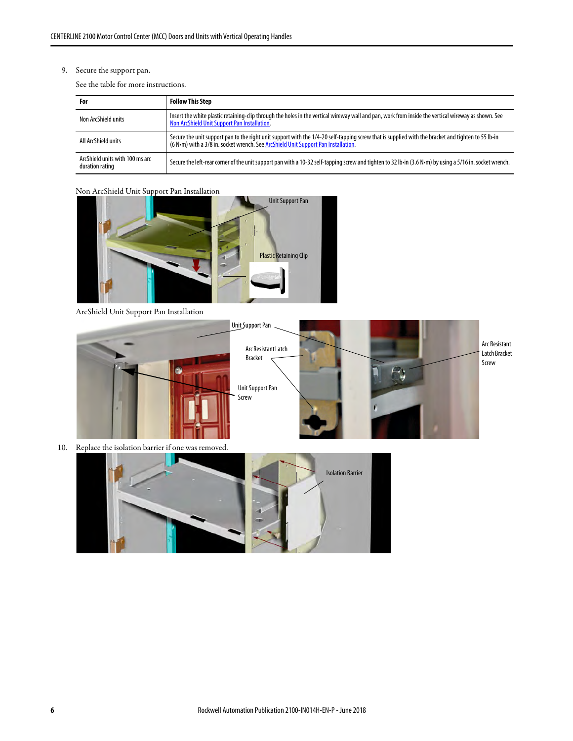#### 9. Secure the support pan.

See the table for more instructions.

| For                                                | <b>Follow This Step</b>                                                                                                                                                                                                                  |
|----------------------------------------------------|------------------------------------------------------------------------------------------------------------------------------------------------------------------------------------------------------------------------------------------|
| Non ArcShield units                                | Insert the white plastic retaining-clip through the holes in the vertical wireway wall and pan, work from inside the vertical wireway as shown. See<br>Non ArcShield Unit Support Pan Installation.                                      |
| All ArcShield units                                | Secure the unit support pan to the right unit support with the 1/4-20 self-tapping screw that is supplied with the bracket and tighten to 55 lb-in<br>(6 N·m) with a 3/8 in. socket wrench. See ArcShield Unit Support Pan Installation. |
| ArcShield units with 100 ms arc<br>duration rating | Secure the left-rear corner of the unit support pan with a 10-32 self-tapping screw and tighten to 32 lb-in (3.6 N-m) by using a 5/16 in. socket wrench.                                                                                 |

#### <span id="page-5-0"></span>Non ArcShield Unit Support Pan Installation



ArcShield Unit Support Pan Installation



<span id="page-5-1"></span>

10. Replace the isolation barrier if one was removed.

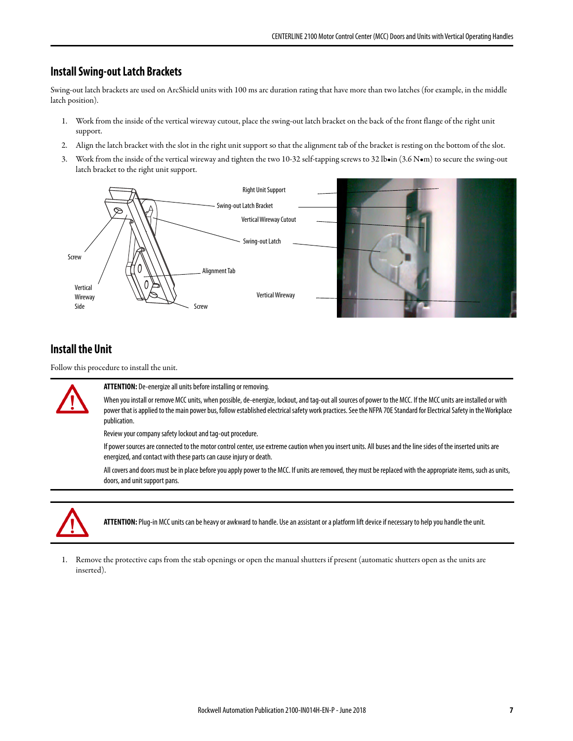### <span id="page-6-0"></span>**Install Swing-out Latch Brackets**

Swing-out latch brackets are used on ArcShield units with 100 ms arc duration rating that have more than two latches (for example, in the middle latch position).

- 1. Work from the inside of the vertical wireway cutout, place the swing-out latch bracket on the back of the front flange of the right unit support.
- 2. Align the latch bracket with the slot in the right unit support so that the alignment tab of the bracket is resting on the bottom of the slot.
- 3. Work from the inside of the vertical wireway and tighten the two 10-32 self-tapping screws to 32 lb•in (3.6 N•m) to secure the swing-out latch bracket to the right unit support.



#### <span id="page-6-1"></span>**Install the Unit**

Follow this procedure to install the unit.



**ATTENTION:** De-energize all units before installing or removing.

When you install or remove MCC units, when possible, de-energize, lockout, and tag-out all sources of power to the MCC. If the MCC units are installed or with power that is applied to the main power bus, follow established electrical safety work practices. See the NFPA 70E Standard for Electrical Safety in the Workplace publication.

Review your company safety lockout and tag-out procedure.

If power sources are connected to the motor control center, use extreme caution when you insert units. All buses and the line sides of the inserted units are energized, and contact with these parts can cause injury or death.

All covers and doors must be in place before you apply power to the MCC. If units are removed, they must be replaced with the appropriate items, such as units, doors, and unit support pans.



**ATTENTION:** Plug-in MCC units can be heavy or awkward to handle. Use an assistant or a platform lift device if necessary to help you handle the unit.

1. Remove the protective caps from the stab openings or open the manual shutters if present (automatic shutters open as the units are inserted).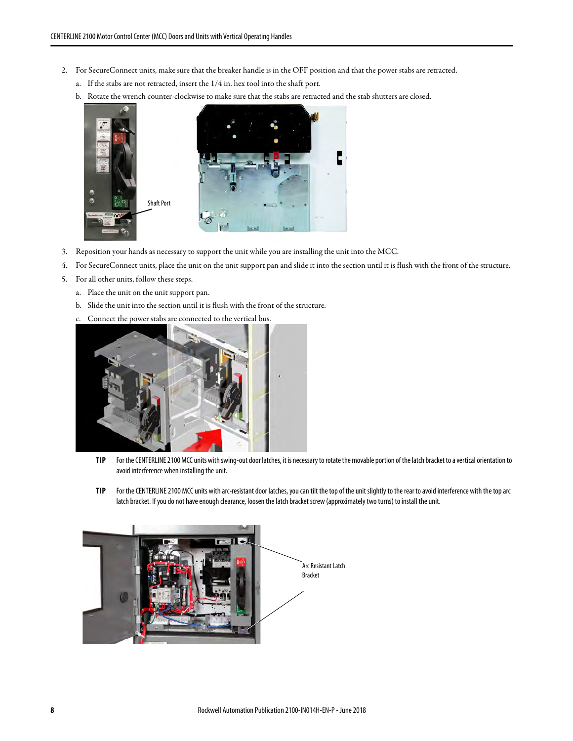- 2. For SecureConnect units, make sure that the breaker handle is in the OFF position and that the power stabs are retracted.
	- a. If the stabs are not retracted, insert the 1/4 in. hex tool into the shaft port.
	- b. Rotate the wrench counter-clockwise to make sure that the stabs are retracted and the stab shutters are closed.



- 3. Reposition your hands as necessary to support the unit while you are installing the unit into the MCC.
- 4. For SecureConnect units, place the unit on the unit support pan and slide it into the section until it is flush with the front of the structure.
- 5. For all other units, follow these steps.
	- a. Place the unit on the unit support pan.
	- b. Slide the unit into the section until it is flush with the front of the structure.
	- c. Connect the power stabs are connected to the vertical bus.



- **TIP** For the CENTERLINE 2100 MCC units with swing-out door latches, it is necessary to rotate the movable portion of the latch bracket to a vertical orientation to avoid interference when installing the unit.
- **TIP** For the CENTERLINE 2100 MCC units with arc-resistant door latches, you can tilt the top of the unit slightly to the rear to avoid interference with the top arc latch bracket. If you do not have enough clearance, loosen the latch bracket screw (approximately two turns) to install the unit.

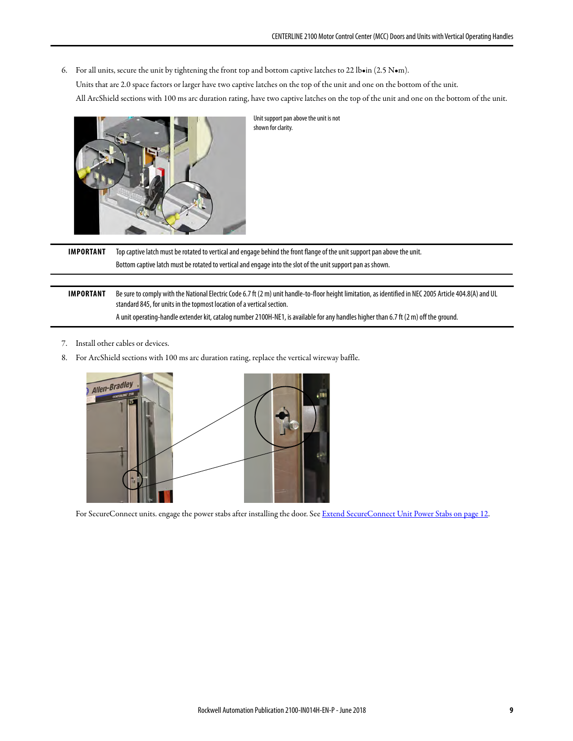6. For all units, secure the unit by tightening the front top and bottom captive latches to 22 lb•in (2.5 N•m).

Units that are 2.0 space factors or larger have two captive latches on the top of the unit and one on the bottom of the unit.

All ArcShield sections with 100 ms arc duration rating, have two captive latches on the top of the unit and one on the bottom of the unit.



Unit support pan above the unit is not shown for clarity.

**IMPORTANT** Top captive latch must be rotated to vertical and engage behind the front flange of the unit support pan above the unit. Bottom captive latch must be rotated to vertical and engage into the slot of the unit support pan as shown.

**IMPORTANT** Be sure to comply with the National Electric Code 6.7 ft (2 m) unit handle-to-floor height limitation, as identified in NEC 2005 Article 404.8(A) and UL standard 845, for units in the topmost location of a vertical section. A unit operating-handle extender kit, catalog number 2100H-NE1, is available for any handles higher than 6.7 ft (2 m) off the ground.

- 7. Install other cables or devices.
- 8. For ArcShield sections with 100 ms arc duration rating, replace the vertical wireway baffle.



For SecureConnect units. engage the power stabs after installing the door. See [Extend SecureConnect Unit Power Stabs on page 12.](#page-11-0)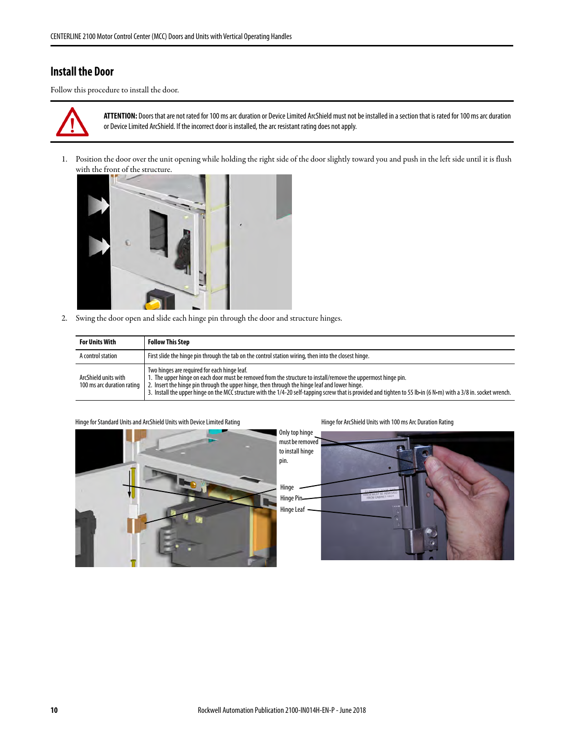## <span id="page-9-0"></span>**Install the Door**

Follow this procedure to install the door.



**ATTENTION:** Doors that are not rated for 100 ms arc duration or Device Limited ArcShield must not be installed in a section that is rated for 100 ms arc duration or Device Limited ArcShield. If the incorrect door is installed, the arc resistant rating does not apply.

1. Position the door over the unit opening while holding the right side of the door slightly toward you and push in the left side until it is flush with the front of the structure.



2. Swing the door open and slide each hinge pin through the door and structure hinges.

| <b>For Units With</b>                              | <b>Follow This Step</b>                                                                                                                                                                                                                                                                                                                                                                                                             |
|----------------------------------------------------|-------------------------------------------------------------------------------------------------------------------------------------------------------------------------------------------------------------------------------------------------------------------------------------------------------------------------------------------------------------------------------------------------------------------------------------|
| A control station                                  | First slide the hinge pin through the tab on the control station wiring, then into the closest hinge.                                                                                                                                                                                                                                                                                                                               |
| ArcShield units with<br>100 ms arc duration rating | Two hinges are required for each hinge leaf.<br>1. The upper hinge on each door must be removed from the structure to install/remove the uppermost hinge pin.<br>2. Insert the hinge pin through the upper hinge, then through the hinge leaf and lower hinge.<br>3. Install the upper hinge on the MCC structure with the 1/4-20 self-tapping screw that is provided and tighten to 55 lb-in (6 N-m) with a 3/8 in. socket wrench. |



Hinge for Standard Units and ArcShield Units with Device Limited Rating Hinger Company Hinge for ArcShield Units with 100 ms Arc Duration Rating

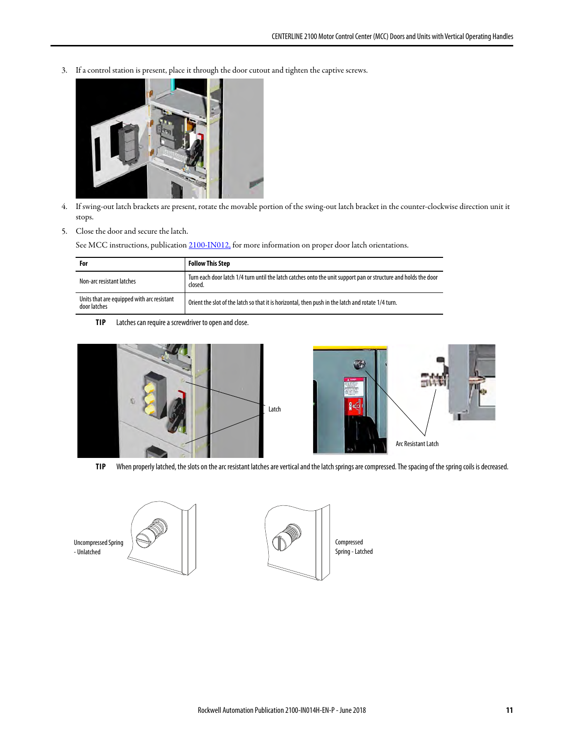3. If a control station is present, place it through the door cutout and tighten the captive screws.



- 4. If swing-out latch brackets are present, rotate the movable portion of the swing-out latch bracket in the counter-clockwise direction unit it stops.
- 5. Close the door and secure the latch.

See MCC instructions, publication [2100-IN012,](http://literature.rockwellautomation.com/idc/groups/literature/documents/in/2100-in012_-en-p.pdf) for more information on proper door latch orientations.

| For                                                        | Follow This Step                                                                                                           |  |
|------------------------------------------------------------|----------------------------------------------------------------------------------------------------------------------------|--|
| Non-arc resistant latches                                  | Turn each door latch 1/4 turn until the latch catches onto the unit support pan or structure and holds the door<br>closed. |  |
| Units that are equipped with arc resistant<br>door latches | Orient the slot of the latch so that it is horizontal, then push in the latch and rotate 1/4 turn.                         |  |

**TIP** Latches can require a screwdriver to open and close.





**TIP** When properly latched, the slots on the arc resistant latches are vertical and the latch springs are compressed. The spacing of the spring coils is decreased.

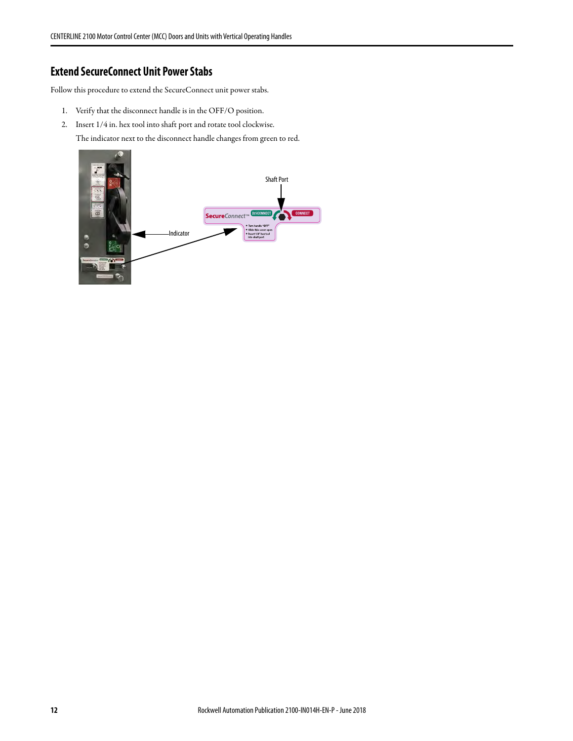# <span id="page-11-0"></span>**Extend SecureConnect Unit Power Stabs**

Follow this procedure to extend the SecureConnect unit power stabs.

- 1. Verify that the disconnect handle is in the OFF/O position.
- 2. Insert 1/4 in. hex tool into shaft port and rotate tool clockwise.

The indicator next to the disconnect handle changes from green to red.

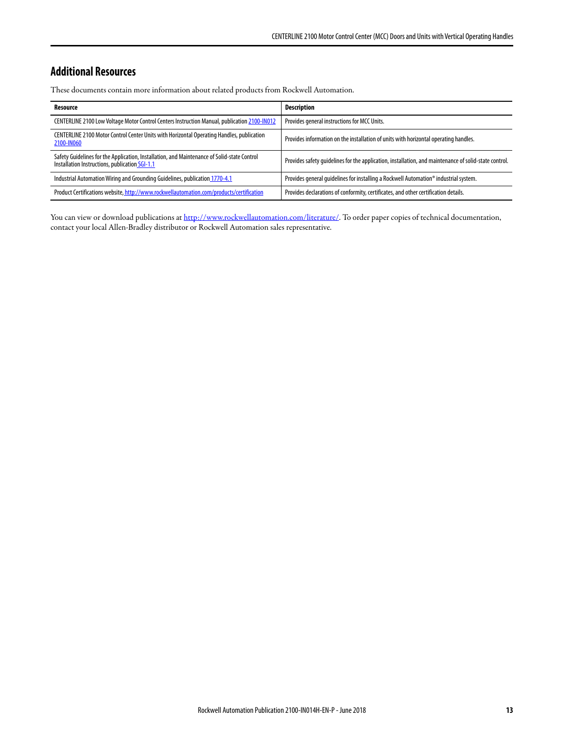# <span id="page-12-0"></span>**Additional Resources**

These documents contain more information about related products from Rockwell Automation.

| Resource                                                                                                                                      | <b>Description</b>                                                                                    |
|-----------------------------------------------------------------------------------------------------------------------------------------------|-------------------------------------------------------------------------------------------------------|
| CENTERLINE 2100 Low Voltage Motor Control Centers Instruction Manual, publication 2100-IN012                                                  | Provides general instructions for MCC Units.                                                          |
| CENTERLINE 2100 Motor Control Center Units with Horizontal Operating Handles, publication<br>2100-IN060                                       | Provides information on the installation of units with horizontal operating handles.                  |
| Safety Guidelines for the Application, Installation, and Maintenance of Solid-state Control<br>Installation Instructions, publication SGI-1.1 | Provides safety quidelines for the application, installation, and maintenance of solid-state control. |
| Industrial Automation Wiring and Grounding Guidelines, publication 1770-4.1                                                                   | Provides general quidelines for installing a Rockwell Automation® industrial system.                  |
| Product Certifications website, http://www.rockwellautomation.com/products/certification                                                      | Provides declarations of conformity, certificates, and other certification details.                   |

You can view or download publications at<http://www.rockwellautomation.com/literature/>. To order paper copies of technical documentation, contact your local Allen-Bradley distributor or Rockwell Automation sales representative.